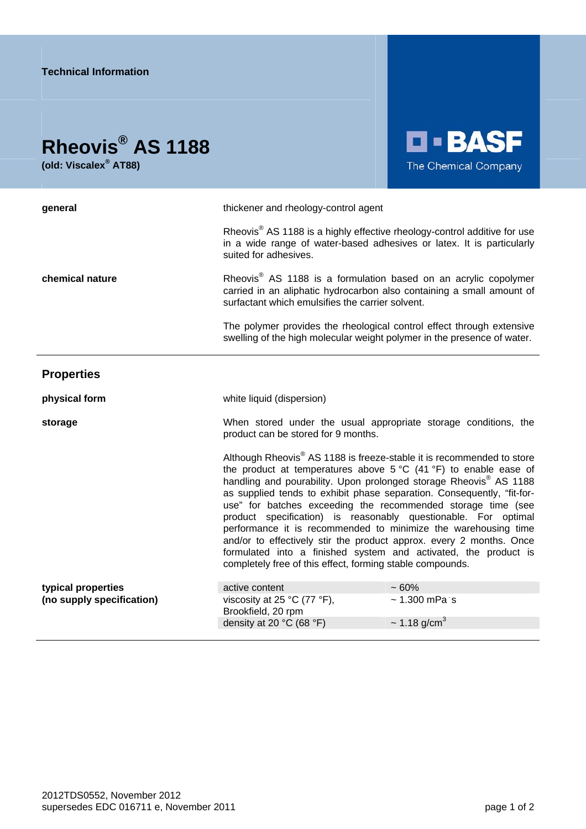## **Rheovis® AS 1188**

**(old: Viscalex® AT88)** 



| general                                         | thickener and rheology-control agent                                                                                                                                                                                                                                                                                                                                                                                                                                                                                                                                                                                                                                                                                              |                               |
|-------------------------------------------------|-----------------------------------------------------------------------------------------------------------------------------------------------------------------------------------------------------------------------------------------------------------------------------------------------------------------------------------------------------------------------------------------------------------------------------------------------------------------------------------------------------------------------------------------------------------------------------------------------------------------------------------------------------------------------------------------------------------------------------------|-------------------------------|
|                                                 | Rheovis <sup>®</sup> AS 1188 is a highly effective rheology-control additive for use<br>in a wide range of water-based adhesives or latex. It is particularly<br>suited for adhesives.                                                                                                                                                                                                                                                                                                                                                                                                                                                                                                                                            |                               |
| chemical nature                                 | Rheovis <sup>®</sup> AS 1188 is a formulation based on an acrylic copolymer<br>carried in an aliphatic hydrocarbon also containing a small amount of<br>surfactant which emulsifies the carrier solvent.                                                                                                                                                                                                                                                                                                                                                                                                                                                                                                                          |                               |
|                                                 | The polymer provides the rheological control effect through extensive<br>swelling of the high molecular weight polymer in the presence of water.                                                                                                                                                                                                                                                                                                                                                                                                                                                                                                                                                                                  |                               |
| <b>Properties</b>                               |                                                                                                                                                                                                                                                                                                                                                                                                                                                                                                                                                                                                                                                                                                                                   |                               |
| physical form                                   | white liquid (dispersion)                                                                                                                                                                                                                                                                                                                                                                                                                                                                                                                                                                                                                                                                                                         |                               |
| storage                                         | When stored under the usual appropriate storage conditions, the<br>product can be stored for 9 months.                                                                                                                                                                                                                                                                                                                                                                                                                                                                                                                                                                                                                            |                               |
|                                                 | Although Rheovis <sup>®</sup> AS 1188 is freeze-stable it is recommended to store<br>the product at temperatures above $5^{\circ}C$ (41 $^{\circ}F$ ) to enable ease of<br>handling and pourability. Upon prolonged storage Rheovis® AS 1188<br>as supplied tends to exhibit phase separation. Consequently, "fit-for-<br>use" for batches exceeding the recommended storage time (see<br>product specification) is reasonably questionable. For optimal<br>performance it is recommended to minimize the warehousing time<br>and/or to effectively stir the product approx. every 2 months. Once<br>formulated into a finished system and activated, the product is<br>completely free of this effect, forming stable compounds. |                               |
| typical properties<br>(no supply specification) | active content                                                                                                                                                                                                                                                                                                                                                                                                                                                                                                                                                                                                                                                                                                                    | $~1.60\%$                     |
|                                                 | viscosity at 25 °C (77 °F),<br>Brookfield, 20 rpm                                                                                                                                                                                                                                                                                                                                                                                                                                                                                                                                                                                                                                                                                 | $~1.300$ mPa s                |
|                                                 | density at 20 °C (68 °F)                                                                                                                                                                                                                                                                                                                                                                                                                                                                                                                                                                                                                                                                                                          | $\sim$ 1.18 g/cm <sup>3</sup> |